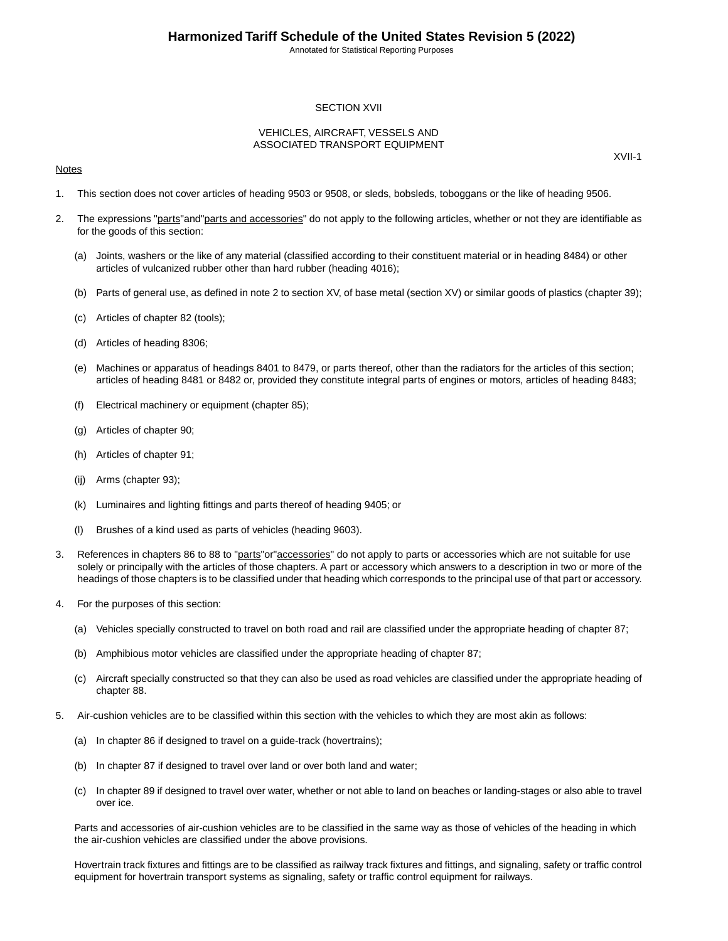Annotated for Statistical Reporting Purposes

## SECTION XVII

### VEHICLES, AIRCRAFT, VESSELS AND ASSOCIATED TRANSPORT EQUIPMENT

### **Notes**

XVII-1

- 1. This section does not cover articles of heading 9503 or 9508, or sleds, bobsleds, toboggans or the like of heading 9506.
- 2. The expressions "parts" and "parts and accessories" do not apply to the following articles, whether or not they are identifiable as for the goods of this section:
	- (a) Joints, washers or the like of any material (classified according to their constituent material or in heading 8484) or other articles of vulcanized rubber other than hard rubber (heading 4016);
	- (b) Parts of general use, as defined in note 2 to section XV, of base metal (section XV) or similar goods of plastics (chapter 39);
	- (c) Articles of chapter 82 (tools);
	- (d) Articles of heading 8306;
	- (e) Machines or apparatus of headings 8401 to 8479, or parts thereof, other than the radiators for the articles of this section; articles of heading 8481 or 8482 or, provided they constitute integral parts of engines or motors, articles of heading 8483;
	- (f) Electrical machinery or equipment (chapter 85);
	- (g) Articles of chapter 90;
	- (h) Articles of chapter 91;
	- (ij) Arms (chapter 93);
	- (k) Luminaires and lighting fittings and parts thereof of heading 9405; or
	- (l) Brushes of a kind used as parts of vehicles (heading 9603).
- 3. References in chapters 86 to 88 to "parts"or"accessories" do not apply to parts or accessories which are not suitable for use solely or principally with the articles of those chapters. A part or accessory which answers to a description in two or more of the headings of those chapters is to be classified under that heading which corresponds to the principal use of that part or accessory.
- 4. For the purposes of this section:
	- (a) Vehicles specially constructed to travel on both road and rail are classified under the appropriate heading of chapter 87;
	- (b) Amphibious motor vehicles are classified under the appropriate heading of chapter 87;
	- (c) Aircraft specially constructed so that they can also be used as road vehicles are classified under the appropriate heading of chapter 88.
- 5. Air-cushion vehicles are to be classified within this section with the vehicles to which they are most akin as follows:
	- (a) In chapter 86 if designed to travel on a guide-track (hovertrains);
	- (b) In chapter 87 if designed to travel over land or over both land and water;
	- (c) In chapter 89 if designed to travel over water, whether or not able to land on beaches or landing-stages or also able to travel over ice.

Parts and accessories of air-cushion vehicles are to be classified in the same way as those of vehicles of the heading in which the air-cushion vehicles are classified under the above provisions.

Hovertrain track fixtures and fittings are to be classified as railway track fixtures and fittings, and signaling, safety or traffic control equipment for hovertrain transport systems as signaling, safety or traffic control equipment for railways.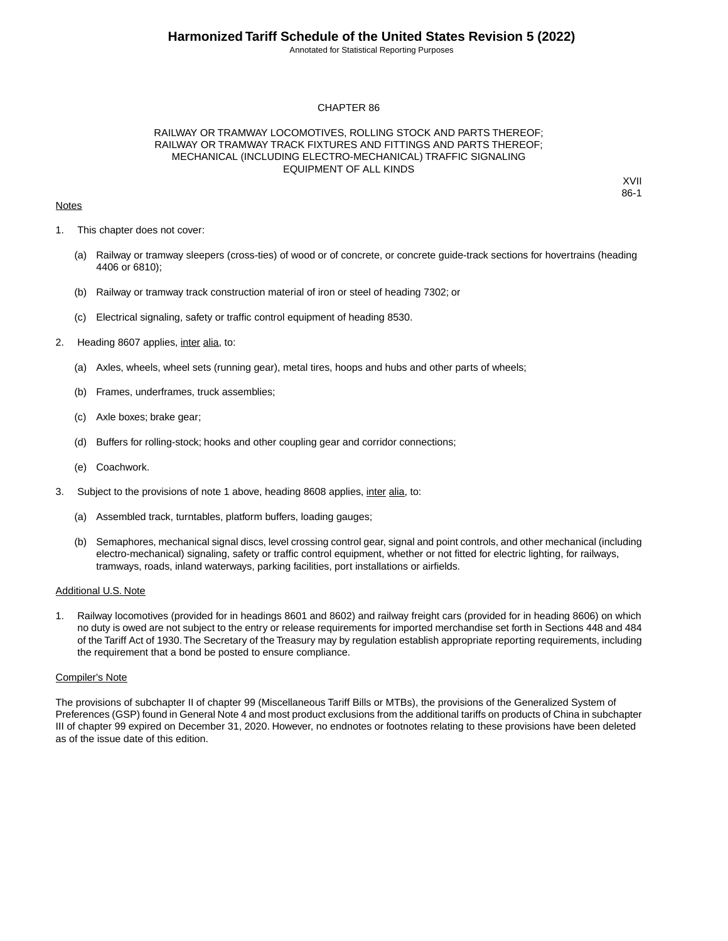Annotated for Statistical Reporting Purposes

### CHAPTER 86

## RAILWAY OR TRAMWAY LOCOMOTIVES, ROLLING STOCK AND PARTS THEREOF; RAILWAY OR TRAMWAY TRACK FIXTURES AND FITTINGS AND PARTS THEREOF; MECHANICAL (INCLUDING ELECTRO-MECHANICAL) TRAFFIC SIGNALING EQUIPMENT OF ALL KINDS

## **Notes**

XVII 86-1

- 1. This chapter does not cover:
	- (a) Railway or tramway sleepers (cross-ties) of wood or of concrete, or concrete guide-track sections for hovertrains (heading 4406 or 6810);
	- (b) Railway or tramway track construction material of iron or steel of heading 7302; or
	- (c) Electrical signaling, safety or traffic control equipment of heading 8530.
- 2. Heading 8607 applies, inter alia, to:
	- (a) Axles, wheels, wheel sets (running gear), metal tires, hoops and hubs and other parts of wheels;
	- (b) Frames, underframes, truck assemblies;
	- (c) Axle boxes; brake gear;
	- (d) Buffers for rolling-stock; hooks and other coupling gear and corridor connections;
	- (e) Coachwork.
- 3. Subject to the provisions of note 1 above, heading 8608 applies, inter alia, to:
	- (a) Assembled track, turntables, platform buffers, loading gauges;
	- (b) Semaphores, mechanical signal discs, level crossing control gear, signal and point controls, and other mechanical (including electro-mechanical) signaling, safety or traffic control equipment, whether or not fitted for electric lighting, for railways, tramways, roads, inland waterways, parking facilities, port installations or airfields.

#### Additional U.S. Note

1. Railway locomotives (provided for in headings 8601 and 8602) and railway freight cars (provided for in heading 8606) on which no duty is owed are not subject to the entry or release requirements for imported merchandise set forth in Sections 448 and 484 of the Tariff Act of 1930.The Secretary of the Treasury may by regulation establish appropriate reporting requirements, including the requirement that a bond be posted to ensure compliance.

#### Compiler's Note

The provisions of subchapter II of chapter 99 (Miscellaneous Tariff Bills or MTBs), the provisions of the Generalized System of Preferences (GSP) found in General Note 4 and most product exclusions from the additional tariffs on products of China in subchapter III of chapter 99 expired on December 31, 2020. However, no endnotes or footnotes relating to these provisions have been deleted as of the issue date of this edition.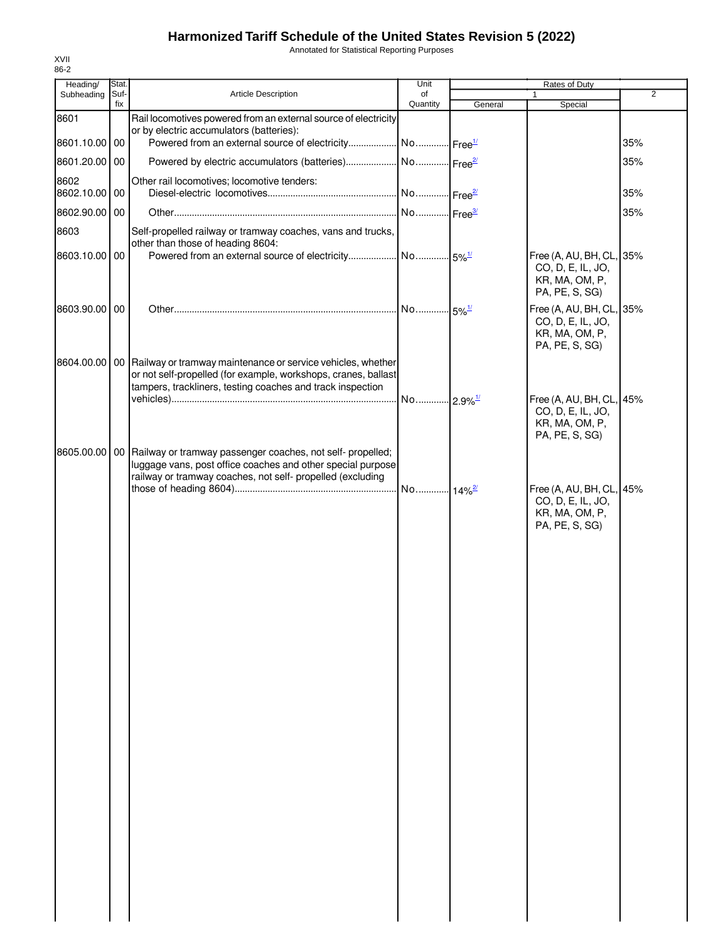Annotated for Statistical Reporting Purposes

| Heading/              | Stat.       |                                                                                                                                                                                                               | Unit                  |         |                                                                                   |                |
|-----------------------|-------------|---------------------------------------------------------------------------------------------------------------------------------------------------------------------------------------------------------------|-----------------------|---------|-----------------------------------------------------------------------------------|----------------|
| Subheading            | Suf-<br>fix | <b>Article Description</b>                                                                                                                                                                                    | of<br>Quantity        | General | $\mathbf{1}$<br>Special                                                           | $\overline{2}$ |
| 8601                  |             | Rail locomotives powered from an external source of electricity<br>or by electric accumulators (batteries):                                                                                                   |                       |         |                                                                                   |                |
| 8601.10.00 00         |             | Powered from an external source of electricity No Free <sup>1/</sup>                                                                                                                                          |                       |         |                                                                                   | 35%            |
| 8601.20.00 00<br>8602 |             |                                                                                                                                                                                                               |                       |         |                                                                                   | 35%            |
| 8602.10.00 00         |             | Other rail locomotives; locomotive tenders:                                                                                                                                                                   |                       |         |                                                                                   | 35%            |
| 8602.90.00 00         |             |                                                                                                                                                                                                               |                       |         |                                                                                   | 35%            |
| 8603                  |             | Self-propelled railway or tramway coaches, vans and trucks,<br>other than those of heading 8604:                                                                                                              |                       |         |                                                                                   |                |
| 8603.10.00 00         |             |                                                                                                                                                                                                               |                       |         | Free (A, AU, BH, CL, 35%<br>CO, D, E, IL, JO,<br>KR, MA, OM, P,<br>PA, PE, S, SG) |                |
| 8603.90.00 00         |             |                                                                                                                                                                                                               |                       |         | Free (A, AU, BH, CL, 35%<br>CO, D, E, IL, JO,<br>KR, MA, OM, P,<br>PA, PE, S, SG) |                |
|                       |             | 8604.00.00   00   Railway or tramway maintenance or service vehicles, whether<br>or not self-propelled (for example, workshops, cranes, ballast<br>tampers, trackliners, testing coaches and track inspection |                       |         |                                                                                   |                |
|                       |             |                                                                                                                                                                                                               | No 2.9% <sup>1/</sup> |         | Free (A, AU, BH, CL, 45%<br>CO, D, E, IL, JO,<br>KR, MA, OM, P,<br>PA, PE, S, SG) |                |
|                       |             | 8605.00.00   00   Railway or tramway passenger coaches, not self- propelled;<br>luggage vans, post office coaches and other special purpose<br>railway or tramway coaches, not self- propelled (excluding     |                       |         |                                                                                   |                |
|                       |             |                                                                                                                                                                                                               |                       |         | CO, D, E, IL, JO,<br>KR, MA, OM, P,<br>PA, PE, S, SG)                             |                |
|                       |             |                                                                                                                                                                                                               |                       |         |                                                                                   |                |
|                       |             |                                                                                                                                                                                                               |                       |         |                                                                                   |                |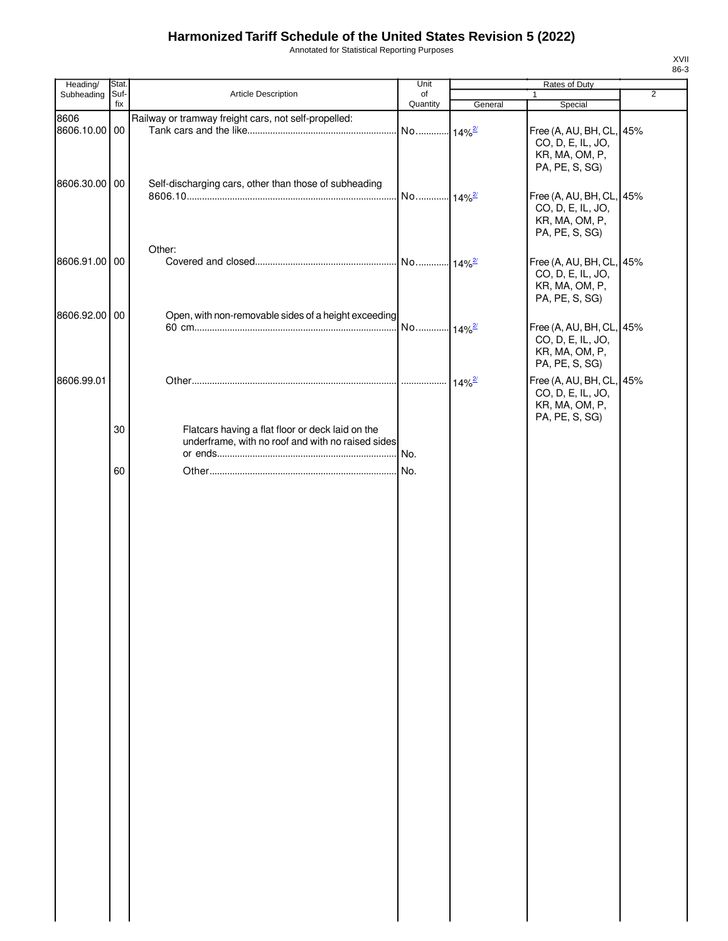Annotated for Statistical Reporting Purposes

| Heading/              | Stat.       |                                                                                                       | Unit                 | Rates of Duty |                                                                                                     |                |
|-----------------------|-------------|-------------------------------------------------------------------------------------------------------|----------------------|---------------|-----------------------------------------------------------------------------------------------------|----------------|
| Subheading            | Suf-<br>fix | Article Description                                                                                   | of<br>Quantity       | General       | $\mathbf{1}$<br>Special                                                                             | $\overline{2}$ |
| 8606<br>8606.10.00 00 |             | Railway or tramway freight cars, not self-propelled:                                                  |                      |               | Free (A, AU, BH, CL, 45%<br>CO, D, E, IL, JO,                                                       |                |
| 8606.30.00 00         |             | Self-discharging cars, other than those of subheading                                                 | No 14% <sup>2/</sup> |               | KR, MA, OM, P,<br>PA, PE, S, SG)<br>Free (A, AU, BH, CL, 45%<br>CO, D, E, IL, JO,<br>KR, MA, OM, P, |                |
| 8606.91.00 00         |             | Other:                                                                                                |                      |               | PA, PE, S, SG)<br>Free (A, AU, BH, CL, 45%                                                          |                |
| 8606.92.00 00         |             | Open, with non-removable sides of a height exceeding                                                  |                      |               | CO, D, E, IL, JO,<br>KR, MA, OM, P,<br>PA, PE, S, SG)                                               |                |
|                       |             |                                                                                                       |                      |               | Free (A, AU, BH, CL, 45%<br>CO, D, E, IL, JO,<br>KR, MA, OM, P,<br>PA, PE, S, SG)                   |                |
| 8606.99.01            |             |                                                                                                       |                      |               | Free (A, AU, BH, CL, 45%<br>CO, D, E, IL, JO,<br>KR, MA, OM, P,<br>PA, PE, S, SG)                   |                |
|                       | 30          | Flatcars having a flat floor or deck laid on the<br>underframe, with no roof and with no raised sides | No.                  |               |                                                                                                     |                |
|                       | 60          |                                                                                                       |                      |               |                                                                                                     |                |
|                       |             |                                                                                                       |                      |               |                                                                                                     |                |
|                       |             |                                                                                                       |                      |               |                                                                                                     |                |
|                       |             |                                                                                                       |                      |               |                                                                                                     |                |
|                       |             |                                                                                                       |                      |               |                                                                                                     |                |
|                       |             |                                                                                                       |                      |               |                                                                                                     |                |
|                       |             |                                                                                                       |                      |               |                                                                                                     |                |
|                       |             |                                                                                                       |                      |               |                                                                                                     |                |
|                       |             |                                                                                                       |                      |               |                                                                                                     |                |
|                       |             |                                                                                                       |                      |               |                                                                                                     |                |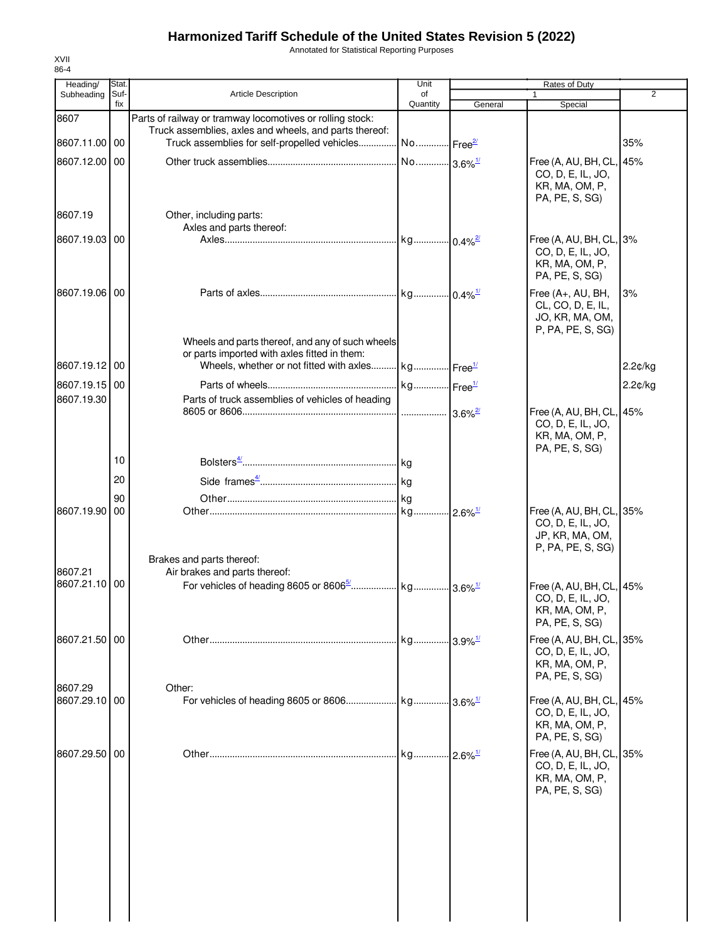Annotated for Statistical Reporting Purposes

| Heading/      | <b>Stat</b> |                                                                    | Unit                  |                        | Rates of Duty                        |                |
|---------------|-------------|--------------------------------------------------------------------|-----------------------|------------------------|--------------------------------------|----------------|
| Subheading    | Suf-<br>fix | <b>Article Description</b>                                         | of<br>Quantity        |                        | 1                                    | $\overline{2}$ |
| 8607          |             | Parts of railway or tramway locomotives or rolling stock:          |                       | General                | Special                              |                |
|               |             | Truck assemblies, axles and wheels, and parts thereof:             |                       |                        |                                      |                |
| 8607.11.00 00 |             | Truck assemblies for self-propelled vehicles No Free <sup>21</sup> |                       |                        |                                      | 35%            |
| 8607.12.00    | 00          |                                                                    | No 3.6% <sup>1/</sup> |                        | Free (A, AU, BH, CL, 45%             |                |
|               |             |                                                                    |                       |                        | CO, D, E, IL, JO,                    |                |
|               |             |                                                                    |                       |                        | KR, MA, OM, P,                       |                |
|               |             |                                                                    |                       |                        | PA, PE, S, SG)                       |                |
| 8607.19       |             | Other, including parts:                                            |                       |                        |                                      |                |
| 8607.19.03 00 |             | Axles and parts thereof:                                           |                       |                        | Free (A, AU, BH, CL, 3%              |                |
|               |             |                                                                    |                       |                        | CO, D, E, IL, JO,                    |                |
|               |             |                                                                    |                       |                        | KR, MA, OM, P,                       |                |
|               |             |                                                                    |                       |                        | PA, PE, S, SG)                       |                |
| 8607.19.06 00 |             |                                                                    |                       |                        | Free (A+, AU, BH,                    | 3%             |
|               |             |                                                                    |                       |                        | CL, CO, D, E, IL,                    |                |
|               |             |                                                                    |                       |                        | JO, KR, MA, OM,<br>P, PA, PE, S, SG) |                |
|               |             | Wheels and parts thereof, and any of such wheels                   |                       |                        |                                      |                |
|               |             | or parts imported with axles fitted in them:                       |                       |                        |                                      |                |
| 8607.19.12 00 |             | Wheels, whether or not fitted with axles kg Free <sup>1/</sup>     |                       |                        |                                      | 2.2¢/kg        |
| 8607.19.15 00 |             |                                                                    |                       |                        |                                      | $2.2$ ¢/kg     |
| 8607.19.30    |             | Parts of truck assemblies of vehicles of heading                   |                       |                        |                                      |                |
|               |             |                                                                    | .                     | 3.6%                   | Free (A, AU, BH, CL, 45%             |                |
|               |             |                                                                    |                       |                        | CO, D, E, IL, JO,<br>KR, MA, OM, P,  |                |
|               |             |                                                                    |                       |                        | PA, PE, S, SG)                       |                |
|               | 10          |                                                                    |                       |                        |                                      |                |
|               | 20          |                                                                    |                       |                        |                                      |                |
|               |             |                                                                    |                       |                        |                                      |                |
| 8607.19.90    | 90<br>00    |                                                                    |                       |                        | Free (A, AU, BH, CL, 35%             |                |
|               |             |                                                                    |                       |                        | CO, D, E, IL, JO,                    |                |
|               |             |                                                                    |                       |                        | JP, KR, MA, OM,                      |                |
|               |             |                                                                    |                       |                        | P, PA, PE, S, SG)                    |                |
| 8607.21       |             | Brakes and parts thereof:<br>Air brakes and parts thereof:         |                       |                        |                                      |                |
| 8607.21.10 00 |             |                                                                    |                       |                        | Free (A, AU, BH, CL, 45%             |                |
|               |             |                                                                    |                       |                        | CO, D, E, IL, JO,                    |                |
|               |             |                                                                    |                       |                        | KR, MA, OM, P,                       |                |
|               |             |                                                                    |                       |                        | PA, PE, S, SG)                       |                |
| 8607.21.50 00 |             |                                                                    | kg 3.9% <sup>1/</sup> |                        | Free (A, AU, BH, CL, 35%             |                |
|               |             |                                                                    |                       |                        | CO, D, E, IL, JO,<br>KR, MA, OM, P,  |                |
|               |             |                                                                    |                       |                        | PA, PE, S, SG)                       |                |
| 8607.29       |             | Other:                                                             |                       |                        |                                      |                |
| 8607.29.10 00 |             |                                                                    |                       |                        | Free (A, AU, BH, CL, 45%             |                |
|               |             |                                                                    |                       |                        | CO, D, E, IL, JO,<br>KR, MA, OM, P,  |                |
|               |             |                                                                    |                       |                        | PA, PE, S, SG)                       |                |
| 8607.29.50    | 00          |                                                                    | . kg                  | $-2.6\%$ <sup>1/</sup> | Free (A, AU, BH, CL, 35%             |                |
|               |             |                                                                    |                       |                        | CO, D, E, IL, JO,                    |                |
|               |             |                                                                    |                       |                        | KR, MA, OM, P,                       |                |
|               |             |                                                                    |                       |                        | PA, PE, S, SG)                       |                |
|               |             |                                                                    |                       |                        |                                      |                |
|               |             |                                                                    |                       |                        |                                      |                |
|               |             |                                                                    |                       |                        |                                      |                |
|               |             |                                                                    |                       |                        |                                      |                |
|               |             |                                                                    |                       |                        |                                      |                |
|               |             |                                                                    |                       |                        |                                      |                |
|               |             |                                                                    |                       |                        |                                      |                |
|               |             |                                                                    |                       |                        |                                      |                |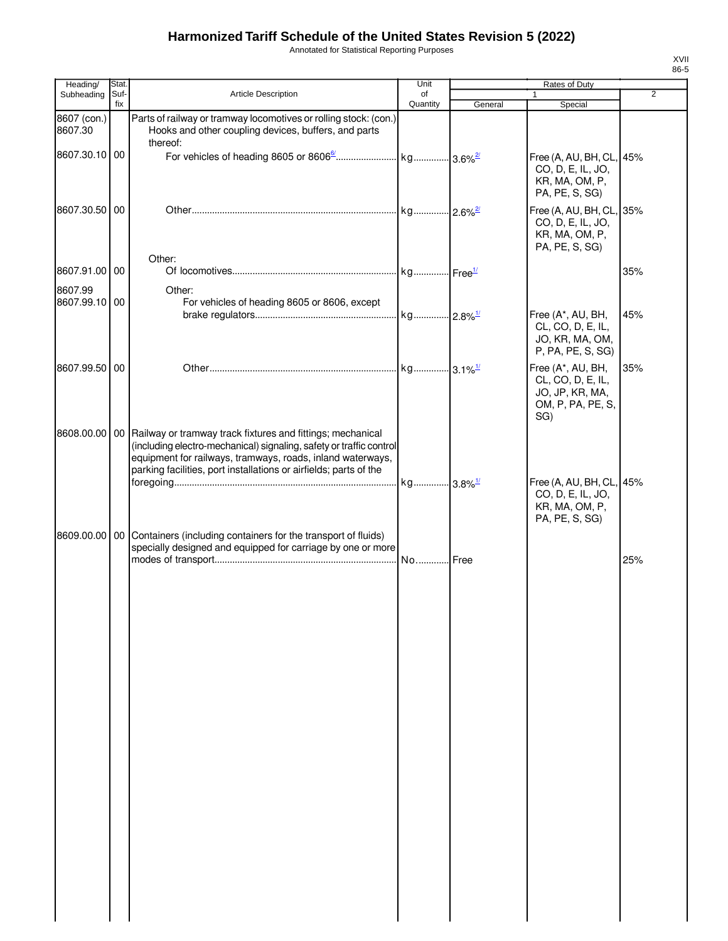Annotated for Statistical Reporting Purposes

| Heading/                 | Stat.       |                                                                                                                                                                                                                                                                                        | Unit                  |         | Rates of Duty                                                                         |                |
|--------------------------|-------------|----------------------------------------------------------------------------------------------------------------------------------------------------------------------------------------------------------------------------------------------------------------------------------------|-----------------------|---------|---------------------------------------------------------------------------------------|----------------|
| Subheading               | Suf-<br>fix | Article Description                                                                                                                                                                                                                                                                    | of<br>Quantity        | General | $\mathbf{1}$<br>Special                                                               | $\overline{2}$ |
| 8607 (con.)<br>8607.30   |             | Parts of railway or tramway locomotives or rolling stock: (con.)<br>Hooks and other coupling devices, buffers, and parts<br>thereof:                                                                                                                                                   |                       |         |                                                                                       |                |
| 8607.30.10 00            |             |                                                                                                                                                                                                                                                                                        |                       |         | Free (A, AU, BH, CL,<br>CO, D, E, IL, JO,<br>KR, MA, OM, P,<br>PA, PE, S, SG)         | 45%            |
| 8607.30.50 00            |             |                                                                                                                                                                                                                                                                                        |                       |         | Free (A, AU, BH, CL, 35%<br>CO, D, E, IL, JO,<br>KR, MA, OM, P,<br>PA, PE, S, SG)     |                |
| 8607.91.00 00            |             | Other:                                                                                                                                                                                                                                                                                 |                       |         |                                                                                       | 35%            |
| 8607.99<br>8607.99.10 00 |             | Other:<br>For vehicles of heading 8605 or 8606, except                                                                                                                                                                                                                                 |                       |         | Free (A*, AU, BH,                                                                     | 45%            |
|                          |             |                                                                                                                                                                                                                                                                                        |                       |         | CL, CO, D, E, IL,<br>JO, KR, MA, OM,<br>P, PA, PE, S, SG)                             |                |
| 8607.99.50 00            |             |                                                                                                                                                                                                                                                                                        |                       |         | Free (A*, AU, BH,<br>CL, CO, D, E, IL,<br>JO, JP, KR, MA,<br>OM, P, PA, PE, S,<br>SG) | 35%            |
|                          |             | 8608.00.00   00   Railway or tramway track fixtures and fittings; mechanical<br>(including electro-mechanical) signaling, safety or traffic control<br>equipment for railways, tramways, roads, inland waterways,<br>parking facilities, port installations or airfields; parts of the | kg 3.8% <sup>1/</sup> |         | Free (A, AU, BH, CL,                                                                  | 45%            |
|                          |             |                                                                                                                                                                                                                                                                                        |                       |         | CO, D, E, IL, JO,<br>KR, MA, OM, P,<br>PA, PE, S, SG)                                 |                |
|                          |             | 8609.00.00   00   Containers (including containers for the transport of fluids)<br>specially designed and equipped for carriage by one or more                                                                                                                                         |                       |         |                                                                                       | 25%            |
|                          |             |                                                                                                                                                                                                                                                                                        |                       |         |                                                                                       |                |
|                          |             |                                                                                                                                                                                                                                                                                        |                       |         |                                                                                       |                |
|                          |             |                                                                                                                                                                                                                                                                                        |                       |         |                                                                                       |                |
|                          |             |                                                                                                                                                                                                                                                                                        |                       |         |                                                                                       |                |
|                          |             |                                                                                                                                                                                                                                                                                        |                       |         |                                                                                       |                |
|                          |             |                                                                                                                                                                                                                                                                                        |                       |         |                                                                                       |                |
|                          |             |                                                                                                                                                                                                                                                                                        |                       |         |                                                                                       |                |